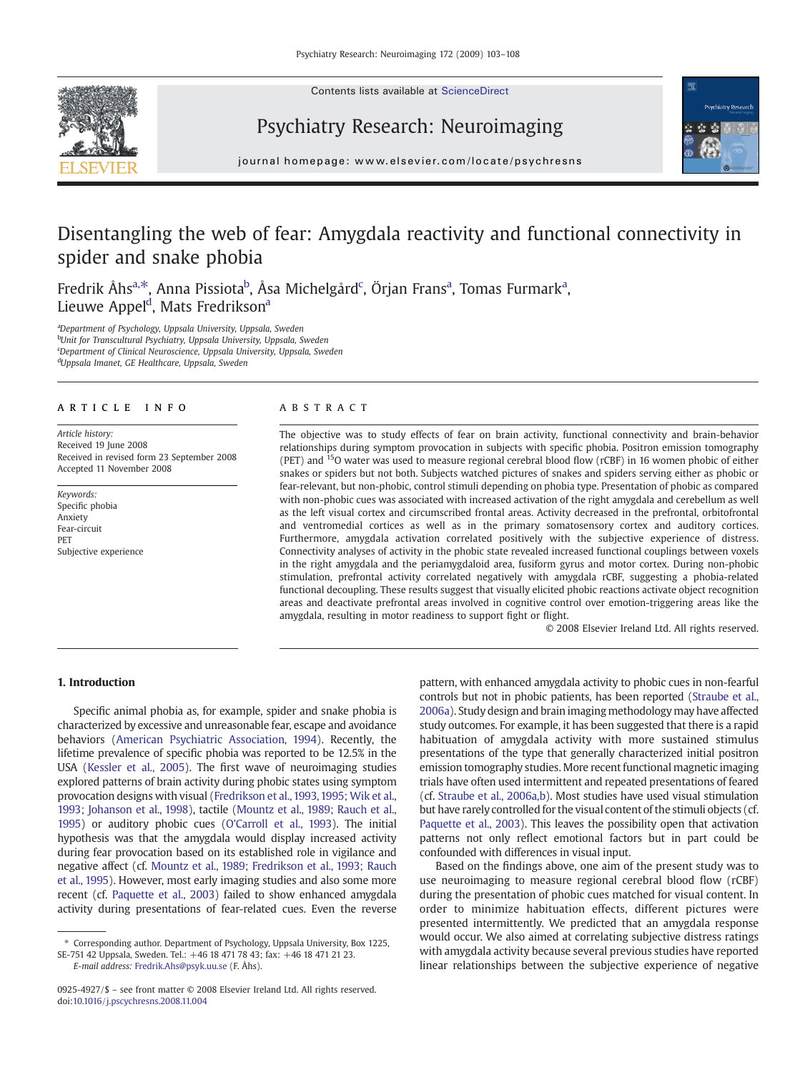Contents lists available at ScienceDirect







journal homepage: www.elsevier.com/locate/psychresns

# Disentangling the web of fear: Amygdala reactivity and functional connectivity in spider and snake phobia

Fredrik Åhs<sup>a,\*</sup>, Anna Pissiota<sup>b</sup>, Åsa Michelgård<sup>c</sup>, Örjan Frans<sup>a</sup>, Tomas Furmark<sup>a</sup>, Lieuwe Appel<sup>d</sup>, Mats Fredrikson<sup>a</sup>

<sup>a</sup>Department of Psychology, Uppsala University, Uppsala, Sweden <sup>b</sup>Unit for Transcultural Psychiatry, Uppsala University, Uppsala, Sweden <sup>c</sup>Department of Clinical Neuroscience, Uppsala University, Uppsala, Sweden <sup>d</sup>Uppsala Imanet, GE Healthcare, Uppsala, Sweden

# article info abstract

Article history: Received 19 June 2008 Received in revised form 23 September 2008 Accepted 11 November 2008

Keywords: Specific phobia Anxiety Fear-circuit PET Subjective experience

The objective was to study effects of fear on brain activity, functional connectivity and brain-behavior relationships during symptom provocation in subjects with specific phobia. Positron emission tomography (PET) and  $15$ O water was used to measure regional cerebral blood flow (rCBF) in 16 women phobic of either snakes or spiders but not both. Subjects watched pictures of snakes and spiders serving either as phobic or fear-relevant, but non-phobic, control stimuli depending on phobia type. Presentation of phobic as compared with non-phobic cues was associated with increased activation of the right amygdala and cerebellum as well as the left visual cortex and circumscribed frontal areas. Activity decreased in the prefrontal, orbitofrontal and ventromedial cortices as well as in the primary somatosensory cortex and auditory cortices. Furthermore, amygdala activation correlated positively with the subjective experience of distress. Connectivity analyses of activity in the phobic state revealed increased functional couplings between voxels in the right amygdala and the periamygdaloid area, fusiform gyrus and motor cortex. During non-phobic stimulation, prefrontal activity correlated negatively with amygdala rCBF, suggesting a phobia-related functional decoupling. These results suggest that visually elicited phobic reactions activate object recognition areas and deactivate prefrontal areas involved in cognitive control over emotion-triggering areas like the amygdala, resulting in motor readiness to support fight or flight.

© 2008 Elsevier Ireland Ltd. All rights reserved.

# 1. Introduction

Specific animal phobia as, for example, spider and snake phobia is characterized by excessive and unreasonable fear, escape and avoidance behaviors [\(American Psychiatric Association, 1994](#page--1-0)). Recently, the lifetime prevalence of specific phobia was reported to be 12.5% in the USA ([Kessler et al., 2005\)](#page--1-0). The first wave of neuroimaging studies explored patterns of brain activity during phobic states using symptom provocation designs with visual ([Fredrikson et al., 1993, 1995; Wik et al.,](#page--1-0) [1993; Johanson et al., 1998](#page--1-0)), tactile [\(Mountz et al., 1989; Rauch et al.,](#page--1-0) [1995\)](#page--1-0) or auditory phobic cues [\(O'Carroll et al., 1993\)](#page--1-0). The initial hypothesis was that the amygdala would display increased activity during fear provocation based on its established role in vigilance and negative affect (cf. [Mountz et al., 1989; Fredrikson et al., 1993; Rauch](#page--1-0) [et al., 1995](#page--1-0)). However, most early imaging studies and also some more recent (cf. [Paquette et al., 2003\)](#page--1-0) failed to show enhanced amygdala activity during presentations of fear-related cues. Even the reverse

SE-751 42 Uppsala, Sweden. Tel.: +46 18 471 78 43; fax: +46 18 471 21 23. E-mail address: [Fredrik.Ahs@psyk.uu.se](mailto:Fredrik.Ahs@psyk.uu.se) (F. Åhs).

pattern, with enhanced amygdala activity to phobic cues in non-fearful controls but not in phobic patients, has been reported ([Straube et al.,](#page--1-0) [2006a\)](#page--1-0). Study design and brain imaging methodology may have affected study outcomes. For example, it has been suggested that there is a rapid habituation of amygdala activity with more sustained stimulus presentations of the type that generally characterized initial positron emission tomography studies. More recent functional magnetic imaging trials have often used intermittent and repeated presentations of feared (cf. [Straube et al., 2006a,b\)](#page--1-0). Most studies have used visual stimulation but have rarely controlled for the visual content of the stimuli objects (cf. [Paquette et al., 2003\)](#page--1-0). This leaves the possibility open that activation patterns not only reflect emotional factors but in part could be confounded with differences in visual input.

Based on the findings above, one aim of the present study was to use neuroimaging to measure regional cerebral blood flow (rCBF) during the presentation of phobic cues matched for visual content. In order to minimize habituation effects, different pictures were presented intermittently. We predicted that an amygdala response would occur. We also aimed at correlating subjective distress ratings with amygdala activity because several previous studies have reported linear relationships between the subjective experience of negative

<sup>⁎</sup> Corresponding author. Department of Psychology, Uppsala University, Box 1225,

<sup>0925-4927/\$</sup> – see front matter © 2008 Elsevier Ireland Ltd. All rights reserved. doi:[10.1016/j.pscychresns.2008.11.004](http://dx.doi.org/10.1016/j.pscychresns.2008.11.004)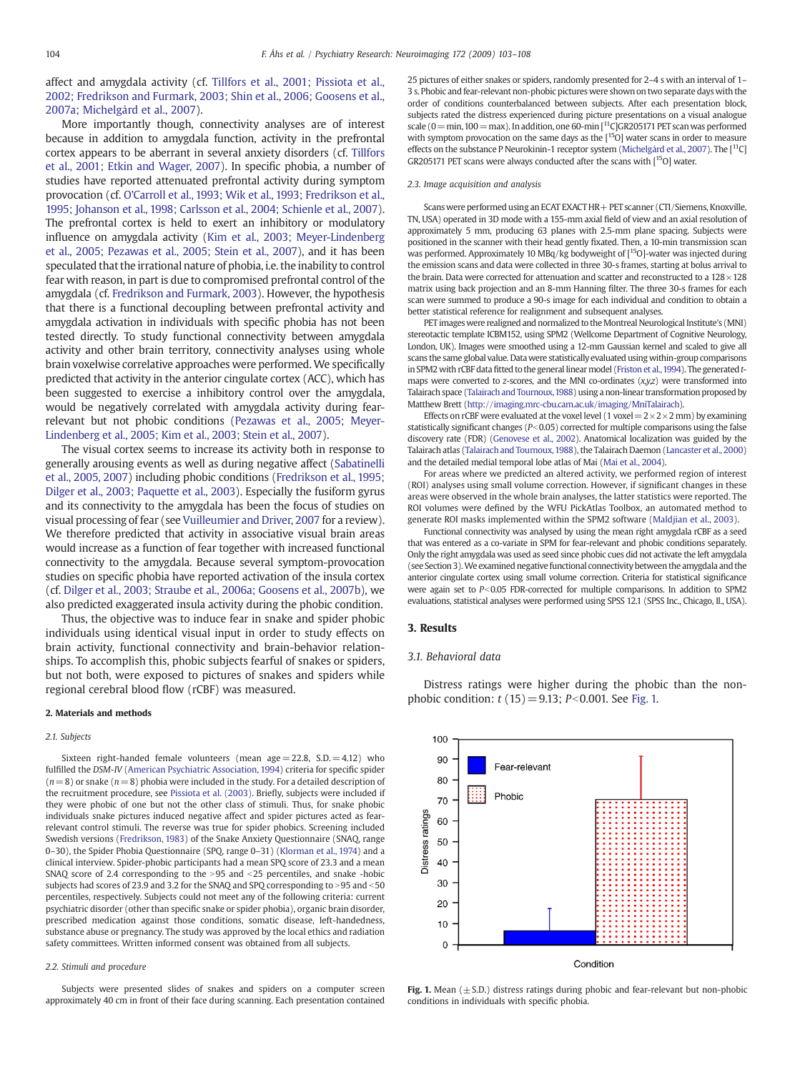affect and amygdala activity (cf. [Tillfors et al., 2001; Pissiota et al.,](#page--1-0) [2002; Fredrikson and Furmark, 2003; Shin et al., 2006; Goosens et al.,](#page--1-0) [2007a; Michelgård et al., 2007\)](#page--1-0).

More importantly though, connectivity analyses are of interest because in addition to amygdala function, activity in the prefrontal cortex appears to be aberrant in several anxiety disorders (cf. [Tillfors](#page--1-0) [et al., 2001; Etkin and Wager, 2007](#page--1-0)). In specific phobia, a number of studies have reported attenuated prefrontal activity during symptom provocation (cf. [O'Carroll et al., 1993; Wik et al., 1993; Fredrikson et al.,](#page--1-0) [1995; Johanson et al., 1998; Carlsson et al., 2004; Schienle et al., 2007\)](#page--1-0). The prefrontal cortex is held to exert an inhibitory or modulatory influence on amygdala activity [\(Kim et al., 2003; Meyer-Lindenberg](#page--1-0) [et al., 2005; Pezawas et al., 2005; Stein et al., 2007](#page--1-0)), and it has been speculated that the irrational nature of phobia, i.e. the inability to control fear with reason, in part is due to compromised prefrontal control of the amygdala (cf. [Fredrikson and Furmark, 2003](#page--1-0)). However, the hypothesis that there is a functional decoupling between prefrontal activity and amygdala activation in individuals with specific phobia has not been tested directly. To study functional connectivity between amygdala activity and other brain territory, connectivity analyses using whole brain voxelwise correlative approaches were performed. We specifically predicted that activity in the anterior cingulate cortex (ACC), which has been suggested to exercise a inhibitory control over the amygdala, would be negatively correlated with amygdala activity during fearrelevant but not phobic conditions [\(Pezawas et al., 2005; Meyer-](#page--1-0)[Lindenberg et al., 2005; Kim et al., 2003; Stein et al., 2007](#page--1-0)).

The visual cortex seems to increase its activity both in response to generally arousing events as well as during negative affect ([Sabatinelli](#page--1-0) [et al., 2005, 2007\)](#page--1-0) including phobic conditions ([Fredrikson et al., 1995;](#page--1-0) [Dilger et al., 2003; Paquette et al., 2003](#page--1-0)). Especially the fusiform gyrus and its connectivity to the amygdala has been the focus of studies on visual processing of fear (see [Vuilleumier and Driver, 2007](#page--1-0) for a review). We therefore predicted that activity in associative visual brain areas would increase as a function of fear together with increased functional connectivity to the amygdala. Because several symptom-provocation studies on specific phobia have reported activation of the insula cortex (cf. [Dilger et al., 2003; Straube et al., 2006a; Goosens et al., 2007b\)](#page--1-0), we also predicted exaggerated insula activity during the phobic condition.

Thus, the objective was to induce fear in snake and spider phobic individuals using identical visual input in order to study effects on brain activity, functional connectivity and brain-behavior relationships. To accomplish this, phobic subjects fearful of snakes or spiders, but not both, were exposed to pictures of snakes and spiders while regional cerebral blood flow (rCBF) was measured.

#### 2. Materials and methods

### 2.1. Subjects

Sixteen right-handed female volunteers (mean age $= 22.8$ ,  $SD = 4.12$ ) who fulfilled the DSM-IV ([American Psychiatric Association, 1994\)](#page--1-0) criteria for specific spider  $(n= 8)$  or snake  $(n= 8)$  phobia were included in the study. For a detailed description of the recruitment procedure, see [Pissiota et al. \(2003\)](#page--1-0). Briefly, subjects were included if they were phobic of one but not the other class of stimuli. Thus, for snake phobic individuals snake pictures induced negative affect and spider pictures acted as fearrelevant control stimuli. The reverse was true for spider phobics. Screening included Swedish versions ([Fredrikson, 1983\)](#page--1-0) of the Snake Anxiety Questionnaire (SNAQ, range 0–30), the Spider Phobia Questionnaire (SPQ, range 0–31) [\(Klorman et al., 1974](#page--1-0)) and a clinical interview. Spider-phobic participants had a mean SPQ score of 23.3 and a mean SNAQ score of 2.4 corresponding to the  $>95$  and  $<$  25 percentiles, and snake -hobic subjects had scores of 23.9 and 3.2 for the SNAQ and SPQ corresponding to > 95 and < 50 percentiles, respectively. Subjects could not meet any of the following criteria: current psychiatric disorder (other than specific snake or spider phobia), organic brain disorder, prescribed medication against those conditions, somatic disease, left-handedness, substance abuse or pregnancy. The study was approved by the local ethics and radiation safety committees. Written informed consent was obtained from all subjects.

#### 2.2. Stimuli and procedure

Subjects were presented slides of snakes and spiders on a computer screen approximately 40 cm in front of their face during scanning. Each presentation contained 25 pictures of either snakes or spiders, randomly presented for 2–4 s with an interval of 1– 3 s. Phobic and fear-relevant non-phobic pictures were shown on two separate days with the order of conditions counterbalanced between subjects. After each presentation block, subjects rated the distress experienced during picture presentations on a visual analogue scale ( $0=$ min, 100 = max). In addition, one 60-min  $[11C]$ GR205171 PET scan was performed with symptom provocation on the same days as the  $[15O]$  water scans in order to measure effects on the substance P Neurokinin-1 receptor system [\(Michelgård et al., 2007](#page--1-0)). The [<sup>11</sup>C] GR205171 PET scans were always conducted after the scans with [<sup>15</sup>O] water.

#### 2.3. Image acquisition and analysis

Scans were performed using an ECAT EXACT HR+ PET scanner (CTI/Siemens, Knoxville, TN, USA) operated in 3D mode with a 155-mm axial field of view and an axial resolution of approximately 5 mm, producing 63 planes with 2.5-mm plane spacing. Subjects were positioned in the scanner with their head gently fixated. Then, a 10-min transmission scan was performed. Approximately 10 MBq/kg bodyweight of [15O]-water was injected during the emission scans and data were collected in three 30-s frames, starting at bolus arrival to the brain. Data were corrected for attenuation and scatter and reconstructed to a  $128 \times 128$ matrix using back projection and an 8-mm Hanning filter. The three 30-s frames for each scan were summed to produce a 90-s image for each individual and condition to obtain a better statistical reference for realignment and subsequent analyses.

PET images were realigned and normalized to the Montreal Neurological Institute's (MNI) stereotactic template ICBM152, using SPM2 (Wellcome Department of Cognitive Neurology, London, UK). Images were smoothed using a 12-mm Gaussian kernel and scaled to give all scans the same global value. Datawere statistically evaluated using within-group comparisons in SPM2 with rCBF data fitted to the general linear model (Friston et al., 1994). The generated tmaps were converted to  $z$ -scores, and the MNI co-ordinates  $(x,yz)$  were transformed into Talairach space [\(Talairach and Tournoux,1988](#page--1-0)) using a non-linear transformation proposed by Matthew Brett [\(http://imaging.mrc-cbu.cam.ac.uk/imaging/MniTalairach\)](http://imaging.mrc-cbu.cam.ac.uk/imaging/MniTalairach).

Effects on rCBF were evaluated at the voxel level (1 yoxel  $=2\times2\times2$  mm) by examining statistically significant changes ( $P<0.05$ ) corrected for multiple comparisons using the false discovery rate (FDR) [\(Genovese et al., 2002\)](#page--1-0). Anatomical localization was guided by the Talairach atlas [\(Talairach and Tournoux,1988](#page--1-0)), the Talairach Daemon [\(Lancaster et al., 2000\)](#page--1-0) and the detailed medial temporal lobe atlas of Mai ([Mai et al., 2004](#page--1-0)).

For areas where we predicted an altered activity, we performed region of interest (ROI) analyses using small volume correction. However, if significant changes in these areas were observed in the whole brain analyses, the latter statistics were reported. The ROI volumes were defined by the WFU PickAtlas Toolbox, an automated method to generate ROI masks implemented within the SPM2 software [\(Maldjian et al., 2003](#page--1-0)).

Functional connectivity was analysed by using the mean right amygdala rCBF as a seed that was entered as a co-variate in SPM for fear-relevant and phobic conditions separately. Only the right amygdala was used as seed since phobic cues did not activate the left amygdala (see Section 3).We examined negative functional connectivity between the amygdala and the anterior cingulate cortex using small volume correction. Criteria for statistical significance were again set to  $P<0.05$  FDR-corrected for multiple comparisons. In addition to SPM2 evaluations, statistical analyses were performed using SPSS 12.1 (SPSS Inc., Chicago, Il., USA).

### 3. Results

## 3.1. Behavioral data

Distress ratings were higher during the phobic than the nonphobic condition:  $t(15) = 9.13$ ; P<0.001. See Fig. 1.



Fig. 1. Mean  $(\pm S.D.)$  distress ratings during phobic and fear-relevant but non-phobic conditions in individuals with specific phobia.